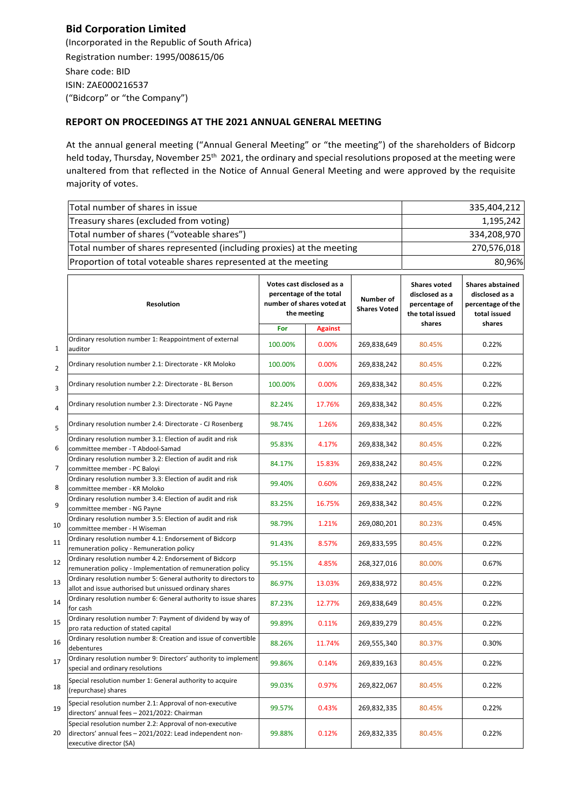## **Bid Corporation Limited**

(Incorporated in the Republic of South Africa) Registration number: 1995/008615/06 Share code: BID ISIN: ZAE000216537 ("Bidcorp" or "the Company")

## **REPORT ON PROCEEDINGS AT THE 2021 ANNUAL GENERAL MEETING**

At the annual general meeting ("Annual General Meeting" or "the meeting") of the shareholders of Bidcorp held today, Thursday, November 25<sup>th</sup> 2021, the ordinary and special resolutions proposed at the meeting were unaltered from that reflected in the Notice of Annual General Meeting and were approved by the requisite majority of votes.

|                | Total number of shares in issue                                                                                                                  | 335,404,212                                                                                      |                |                                  |                                                                            |                                                                                          |
|----------------|--------------------------------------------------------------------------------------------------------------------------------------------------|--------------------------------------------------------------------------------------------------|----------------|----------------------------------|----------------------------------------------------------------------------|------------------------------------------------------------------------------------------|
|                | Treasury shares (excluded from voting)                                                                                                           | 1,195,242                                                                                        |                |                                  |                                                                            |                                                                                          |
|                | Total number of shares ("voteable shares")                                                                                                       | 334,208,970                                                                                      |                |                                  |                                                                            |                                                                                          |
|                | Total number of shares represented (including proxies) at the meeting                                                                            | 270,576,018                                                                                      |                |                                  |                                                                            |                                                                                          |
|                | Proportion of total voteable shares represented at the meeting                                                                                   | 80,96%                                                                                           |                |                                  |                                                                            |                                                                                          |
|                |                                                                                                                                                  |                                                                                                  |                |                                  |                                                                            |                                                                                          |
|                | Resolution                                                                                                                                       | Votes cast disclosed as a<br>percentage of the total<br>number of shares voted at<br>the meeting |                | Number of<br><b>Shares Voted</b> | <b>Shares voted</b><br>disclosed as a<br>percentage of<br>the total issued | <b>Shares abstained</b><br>disclosed as a<br>percentage of the<br>total issued<br>shares |
|                |                                                                                                                                                  | For                                                                                              | <b>Against</b> |                                  | shares                                                                     |                                                                                          |
| 1              | Ordinary resolution number 1: Reappointment of external<br>auditor                                                                               | 100.00%                                                                                          | $0.00\%$       | 269,838,649                      | 80.45%                                                                     | 0.22%                                                                                    |
| $\overline{2}$ | Ordinary resolution number 2.1: Directorate - KR Moloko                                                                                          | 100.00%                                                                                          | $0.00\%$       | 269,838,242                      | 80.45%                                                                     | 0.22%                                                                                    |
| 3              | Ordinary resolution number 2.2: Directorate - BL Berson                                                                                          | 100.00%                                                                                          | 0.00%          | 269,838,342                      | 80.45%                                                                     | 0.22%                                                                                    |
| 4              | Ordinary resolution number 2.3: Directorate - NG Payne                                                                                           | 82.24%                                                                                           | 17.76%         | 269,838,342                      | 80.45%                                                                     | 0.22%                                                                                    |
| 5              | Ordinary resolution number 2.4: Directorate - CJ Rosenberg                                                                                       | 98.74%                                                                                           | 1.26%          | 269,838,342                      | 80.45%                                                                     | 0.22%                                                                                    |
| 6              | Ordinary resolution number 3.1: Election of audit and risk<br>committee member - T Abdool-Samad                                                  | 95.83%                                                                                           | 4.17%          | 269,838,342                      | 80.45%                                                                     | 0.22%                                                                                    |
| 7              | Ordinary resolution number 3.2: Election of audit and risk<br>committee member - PC Baloyi                                                       | 84.17%                                                                                           | 15.83%         | 269,838,242                      | 80.45%                                                                     | 0.22%                                                                                    |
| 8              | Ordinary resolution number 3.3: Election of audit and risk<br>committee member - KR Moloko                                                       | 99.40%                                                                                           | 0.60%          | 269,838,242                      | 80.45%                                                                     | 0.22%                                                                                    |
| 9              | Ordinary resolution number 3.4: Election of audit and risk<br>committee member - NG Payne                                                        | 83.25%                                                                                           | 16.75%         | 269,838,342                      | 80.45%                                                                     | 0.22%                                                                                    |
| 10             | Ordinary resolution number 3.5: Election of audit and risk<br>committee member - H Wiseman                                                       | 98.79%                                                                                           | 1.21%          | 269,080,201                      | 80.23%                                                                     | 0.45%                                                                                    |
| 11             | Ordinary resolution number 4.1: Endorsement of Bidcorp<br>remuneration policy - Remuneration policy                                              | 91.43%                                                                                           | 8.57%          | 269,833,595                      | 80.45%                                                                     | 0.22%                                                                                    |
| 12             | Ordinary resolution number 4.2: Endorsement of Bidcorp<br>remuneration policy - Implementation of remuneration policy                            | 95.15%                                                                                           | 4.85%          | 268,327,016                      | 80.00%                                                                     | 0.67%                                                                                    |
| 13             | Ordinary resolution number 5: General authority to directors to<br>allot and issue authorised but unissued ordinary shares                       | 86.97%                                                                                           | 13.03%         | 269,838,972                      | 80.45%                                                                     | 0.22%                                                                                    |
| 14             | Ordinary resolution number 6: General authority to issue shares<br>for cash                                                                      | 87.23%                                                                                           | 12.77%         | 269,838,649                      | 80.45%                                                                     | 0.22%                                                                                    |
| 15             | Ordinary resolution number 7: Payment of dividend by way of<br>pro rata reduction of stated capital                                              | 99.89%                                                                                           | 0.11%          | 269,839,279                      | 80.45%                                                                     | 0.22%                                                                                    |
| 16             | Ordinary resolution number 8: Creation and issue of convertible<br>debentures                                                                    | 88.26%                                                                                           | 11.74%         | 269,555,340                      | 80.37%                                                                     | 0.30%                                                                                    |
| 17             | Ordinary resolution number 9: Directors' authority to implement<br>special and ordinary resolutions                                              | 99.86%                                                                                           | 0.14%          | 269,839,163                      | 80.45%                                                                     | 0.22%                                                                                    |
| 18             | Special resolution number 1: General authority to acquire<br>(repurchase) shares                                                                 | 99.03%                                                                                           | 0.97%          | 269,822,067                      | 80.45%                                                                     | 0.22%                                                                                    |
| 19             | Special resolution number 2.1: Approval of non-executive<br>directors' annual fees - 2021/2022: Chairman                                         | 99.57%                                                                                           | 0.43%          | 269,832,335                      | 80.45%                                                                     | 0.22%                                                                                    |
| 20             | Special resolution number 2.2: Approval of non-executive<br>directors' annual fees - 2021/2022: Lead independent non-<br>executive director (SA) | 99.88%                                                                                           | 0.12%          | 269,832,335                      | 80.45%                                                                     | 0.22%                                                                                    |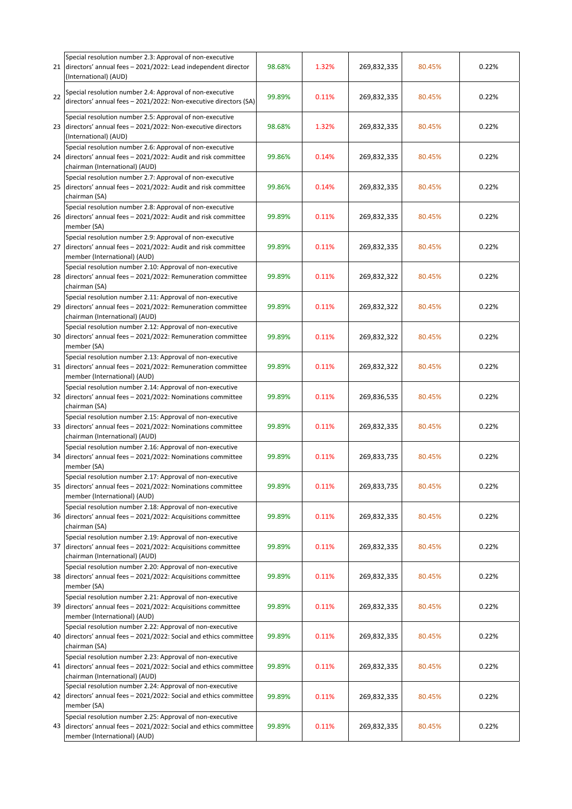|    | Special resolution number 2.3: Approval of non-executive<br>21 directors' annual fees - 2021/2022: Lead independent director<br>(International) (AUD)             | 98.68% | 1.32% | 269,832,335 | 80.45% | 0.22% |
|----|-------------------------------------------------------------------------------------------------------------------------------------------------------------------|--------|-------|-------------|--------|-------|
| 22 | Special resolution number 2.4: Approval of non-executive<br>directors' annual fees - 2021/2022: Non-executive directors (SA)                                      | 99.89% | 0.11% | 269,832,335 | 80.45% | 0.22% |
|    | Special resolution number 2.5: Approval of non-executive<br>23 directors' annual fees - 2021/2022: Non-executive directors<br>(International) (AUD)               | 98.68% | 1.32% | 269,832,335 | 80.45% | 0.22% |
|    | Special resolution number 2.6: Approval of non-executive<br>24 directors' annual fees - 2021/2022: Audit and risk committee<br>chairman (International) (AUD)     | 99.86% | 0.14% | 269,832,335 | 80.45% | 0.22% |
| 25 | Special resolution number 2.7: Approval of non-executive<br>directors' annual fees - 2021/2022: Audit and risk committee<br>chairman (SA)                         | 99.86% | 0.14% | 269,832,335 | 80.45% | 0.22% |
|    | Special resolution number 2.8: Approval of non-executive<br>26 directors' annual fees - 2021/2022: Audit and risk committee<br>member (SA)                        | 99.89% | 0.11% | 269,832,335 | 80.45% | 0.22% |
|    | Special resolution number 2.9: Approval of non-executive<br>27 directors' annual fees - 2021/2022: Audit and risk committee<br>member (International) (AUD)       | 99.89% | 0.11% | 269,832,335 | 80.45% | 0.22% |
| 28 | Special resolution number 2.10: Approval of non-executive<br>directors' annual fees - 2021/2022: Remuneration committee<br>chairman (SA)                          | 99.89% | 0.11% | 269,832,322 | 80.45% | 0.22% |
|    | Special resolution number 2.11: Approval of non-executive<br>29 directors' annual fees - 2021/2022: Remuneration committee<br>chairman (International) (AUD)      | 99.89% | 0.11% | 269,832,322 | 80.45% | 0.22% |
| 30 | Special resolution number 2.12: Approval of non-executive<br>directors' annual fees - 2021/2022: Remuneration committee<br>member (SA)                            | 99.89% | 0.11% | 269,832,322 | 80.45% | 0.22% |
|    | Special resolution number 2.13: Approval of non-executive<br>31 directors' annual fees - 2021/2022: Remuneration committee<br>member (International) (AUD)        | 99.89% | 0.11% | 269,832,322 | 80.45% | 0.22% |
|    | Special resolution number 2.14: Approval of non-executive<br>32 directors' annual fees - 2021/2022: Nominations committee<br>chairman (SA)                        | 99.89% | 0.11% | 269,836,535 | 80.45% | 0.22% |
|    | Special resolution number 2.15: Approval of non-executive<br>33 directors' annual fees - 2021/2022: Nominations committee<br>chairman (International) (AUD)       | 99.89% | 0.11% | 269,832,335 | 80.45% | 0.22% |
| 34 | Special resolution number 2.16: Approval of non-executive<br>directors' annual fees - 2021/2022: Nominations committee<br>member (SA)                             | 99.89% | 0.11% | 269,833,735 | 80.45% | 0.22% |
|    | Special resolution number 2.17: Approval of non-executive<br>35 directors' annual fees - 2021/2022: Nominations committee<br>member (International) (AUD)         | 99.89% | 0.11% | 269,833,735 | 80.45% | 0.22% |
| 36 | Special resolution number 2.18: Approval of non-executive<br>directors' annual fees - 2021/2022: Acquisitions committee<br>chairman (SA)                          | 99.89% | 0.11% | 269,832,335 | 80.45% | 0.22% |
| 37 | Special resolution number 2.19: Approval of non-executive<br>directors' annual fees - 2021/2022: Acquisitions committee<br>chairman (International) (AUD)         | 99.89% | 0.11% | 269,832,335 | 80.45% | 0.22% |
| 38 | Special resolution number 2.20: Approval of non-executive<br>directors' annual fees - 2021/2022: Acquisitions committee<br>member (SA)                            | 99.89% | 0.11% | 269,832,335 | 80.45% | 0.22% |
| 39 | Special resolution number 2.21: Approval of non-executive<br>directors' annual fees - 2021/2022: Acquisitions committee<br>member (International) (AUD)           | 99.89% | 0.11% | 269,832,335 | 80.45% | 0.22% |
| 40 | Special resolution number 2.22: Approval of non-executive<br>directors' annual fees - 2021/2022: Social and ethics committee<br>chairman (SA)                     | 99.89% | 0.11% | 269,832,335 | 80.45% | 0.22% |
|    | Special resolution number 2.23: Approval of non-executive<br>41 directors' annual fees - 2021/2022: Social and ethics committee<br>chairman (International) (AUD) | 99.89% | 0.11% | 269,832,335 | 80.45% | 0.22% |
| 42 | Special resolution number 2.24: Approval of non-executive<br>directors' annual fees - 2021/2022: Social and ethics committee<br>member (SA)                       | 99.89% | 0.11% | 269,832,335 | 80.45% | 0.22% |
| 43 | Special resolution number 2.25: Approval of non-executive<br>directors' annual fees - 2021/2022: Social and ethics committee<br>member (International) (AUD)      | 99.89% | 0.11% | 269,832,335 | 80.45% | 0.22% |